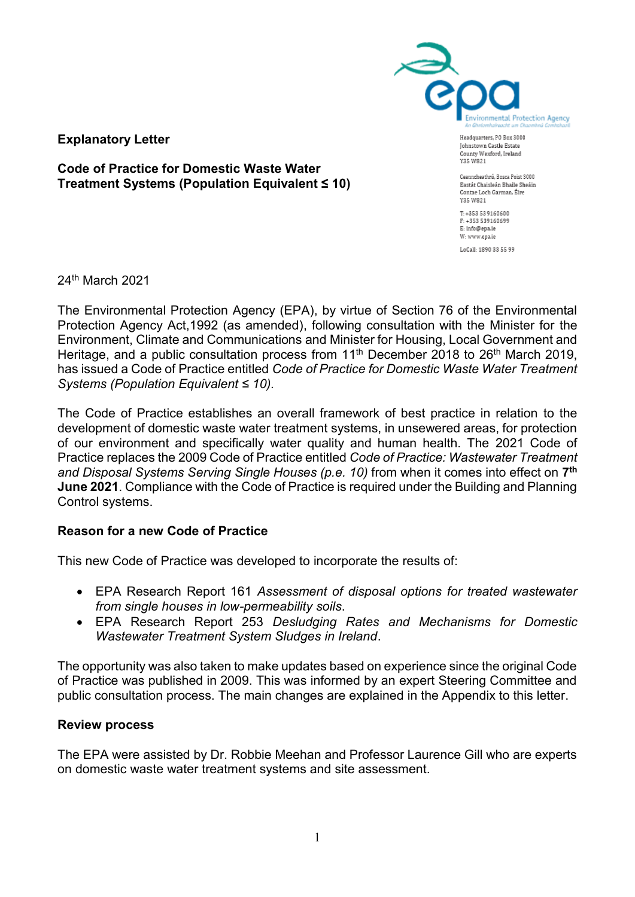

**Explanatory Letter**

**Code of Practice for Domestic Waste Water Treatment Systems (Population Equivalent ≤ 10)**

Headquarters, PO Box 3000 Johnstown Castle Estate County Wexford, Ireland Y35 W821

Ceanncheathrú, Bosca Poist 3000 Eastát Chaisleán Bhaile Sheáin Contae Loch Garman, Éire Y35 W821

 $T: +353539160600$ F-1353 539160699 E: info@epa.ie W: www.epa.ie LoCall: 1890 33 55 99

24th March 2021

The Environmental Protection Agency (EPA), by virtue of Section 76 of the Environmental Protection Agency Act,1992 (as amended), following consultation with the Minister for the Environment, Climate and Communications and Minister for Housing, Local Government and Heritage, and a public consultation process from 11<sup>th</sup> December 2018 to 26<sup>th</sup> March 2019, has issued a Code of Practice entitled *Code of Practice for Domestic Waste Water Treatment Systems (Population Equivalent ≤ 10).*

The Code of Practice establishes an overall framework of best practice in relation to the development of domestic waste water treatment systems, in unsewered areas, for protection of our environment and specifically water quality and human health. The 2021 Code of Practice replaces the 2009 Code of Practice entitled *Code of Practice: Wastewater Treatment and Disposal Systems Serving Single Houses (p.e. 10)* from when it comes into effect on **7 th June 2021**. Compliance with the Code of Practice is required under the Building and Planning Control systems.

## **Reason for a new Code of Practice**

This new Code of Practice was developed to incorporate the results of:

- EPA Research Report 161 *Assessment of disposal options for treated wastewater from single houses in low-permeability soils*.
- EPA Research Report 253 *Desludging Rates and Mechanisms for Domestic Wastewater Treatment System Sludges in Ireland*.

The opportunity was also taken to make updates based on experience since the original Code of Practice was published in 2009. This was informed by an expert Steering Committee and public consultation process. The main changes are explained in the Appendix to this letter.

## **Review process**

The EPA were assisted by Dr. Robbie Meehan and Professor Laurence Gill who are experts on domestic waste water treatment systems and site assessment.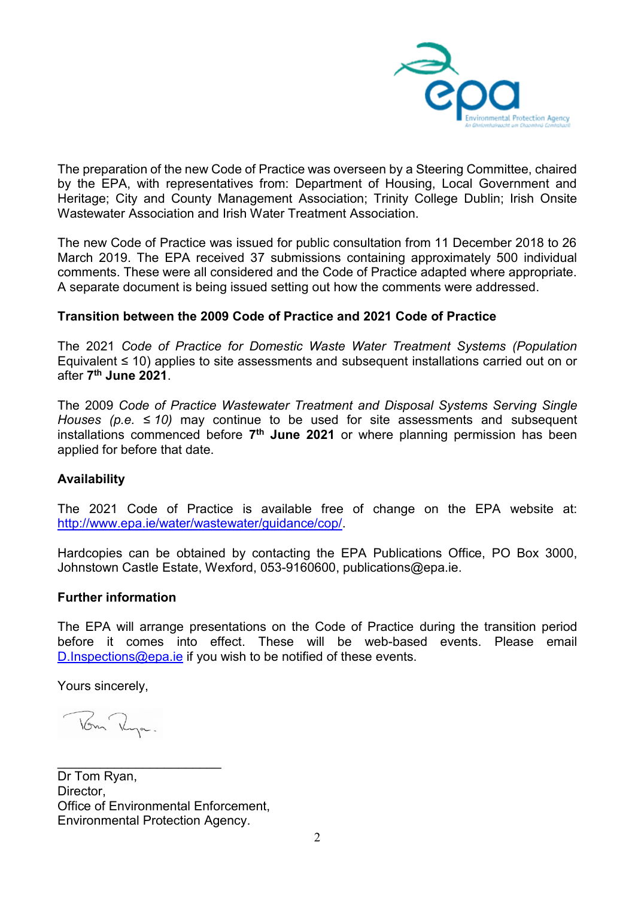

The preparation of the new Code of Practice was overseen by a Steering Committee, chaired by the EPA, with representatives from: Department of Housing, Local Government and Heritage; City and County Management Association; Trinity College Dublin; Irish Onsite Wastewater Association and Irish Water Treatment Association.

The new Code of Practice was issued for public consultation from 11 December 2018 to 26 March 2019. The EPA received 37 submissions containing approximately 500 individual comments. These were all considered and the Code of Practice adapted where appropriate. A separate document is being issued setting out how the comments were addressed.

## **Transition between the 2009 Code of Practice and 2021 Code of Practice**

The 2021 *Code of Practice for Domestic Waste Water Treatment Systems (Population*  Equivalent ≤ 10) applies to site assessments and subsequent installations carried out on or after **7 th June 2021**.

The 2009 *Code of Practice Wastewater Treatment and Disposal Systems Serving Single Houses (p.e. ≤ 10)* may continue to be used for site assessments and subsequent installations commenced before **7 th June 2021** or where planning permission has been applied for before that date.

# **Availability**

The 2021 Code of Practice is available free of change on the EPA website at: [http://www.epa.ie/water/wastewater/guidance/cop/.](http://www.epa.ie/water/wastewater/guidance/cop/)

Hardcopies can be obtained by contacting the EPA Publications Office, PO Box 3000, Johnstown Castle Estate, Wexford, 053-9160600, [publications@epa.ie.](mailto:publications@epa.ie)

## **Further information**

The EPA will arrange presentations on the Code of Practice during the transition period before it comes into effect. These will be web-based events. Please email [D.Inspections@epa.ie](mailto:D.Inspections@epa.ie) if you wish to be notified of these events.

Yours sincerely,

Tom Rya.

 $\overline{\phantom{a}}$  , and the set of the set of the set of the set of the set of the set of the set of the set of the set of the set of the set of the set of the set of the set of the set of the set of the set of the set of the s Dr Tom Ryan, Director, Office of Environmental Enforcement, Environmental Protection Agency.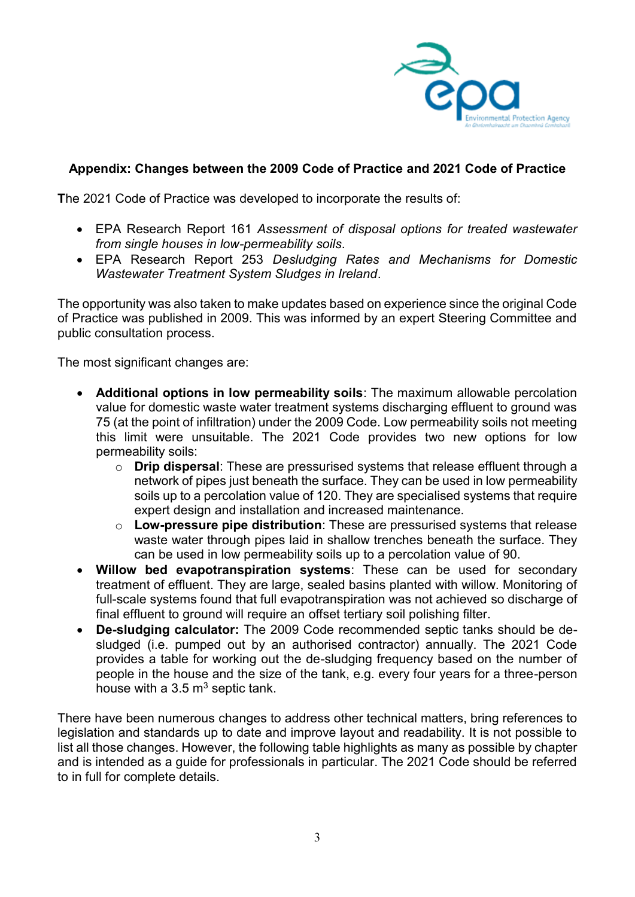

# **Appendix: Changes between the 2009 Code of Practice and 2021 Code of Practice**

**T**he 2021 Code of Practice was developed to incorporate the results of:

- EPA Research Report 161 *Assessment of disposal options for treated wastewater from single houses in low-permeability soils*.
- EPA Research Report 253 *Desludging Rates and Mechanisms for Domestic Wastewater Treatment System Sludges in Ireland*.

The opportunity was also taken to make updates based on experience since the original Code of Practice was published in 2009. This was informed by an expert Steering Committee and public consultation process.

The most significant changes are:

- **Additional options in low permeability soils**: The maximum allowable percolation value for domestic waste water treatment systems discharging effluent to ground was 75 (at the point of infiltration) under the 2009 Code. Low permeability soils not meeting this limit were unsuitable. The 2021 Code provides two new options for low permeability soils:
	- o **Drip dispersal**: These are pressurised systems that release effluent through a network of pipes just beneath the surface. They can be used in low permeability soils up to a percolation value of 120. They are specialised systems that require expert design and installation and increased maintenance.
	- o **Low-pressure pipe distribution**: These are pressurised systems that release waste water through pipes laid in shallow trenches beneath the surface. They can be used in low permeability soils up to a percolation value of 90.
- **Willow bed evapotranspiration systems**: These can be used for secondary treatment of effluent. They are large, sealed basins planted with willow. Monitoring of full-scale systems found that full evapotranspiration was not achieved so discharge of final effluent to ground will require an offset tertiary soil polishing filter.
- **De-sludging calculator:** The 2009 Code recommended septic tanks should be desludged (i.e. pumped out by an authorised contractor) annually. The 2021 Code provides a table for working out the de-sludging frequency based on the number of people in the house and the size of the tank, e.g. every four years for a three-person house with a  $3.5 \,\mathrm{m}^3$  septic tank.

There have been numerous changes to address other technical matters, bring references to legislation and standards up to date and improve layout and readability. It is not possible to list all those changes. However, the following table highlights as many as possible by chapter and is intended as a guide for professionals in particular. The 2021 Code should be referred to in full for complete details.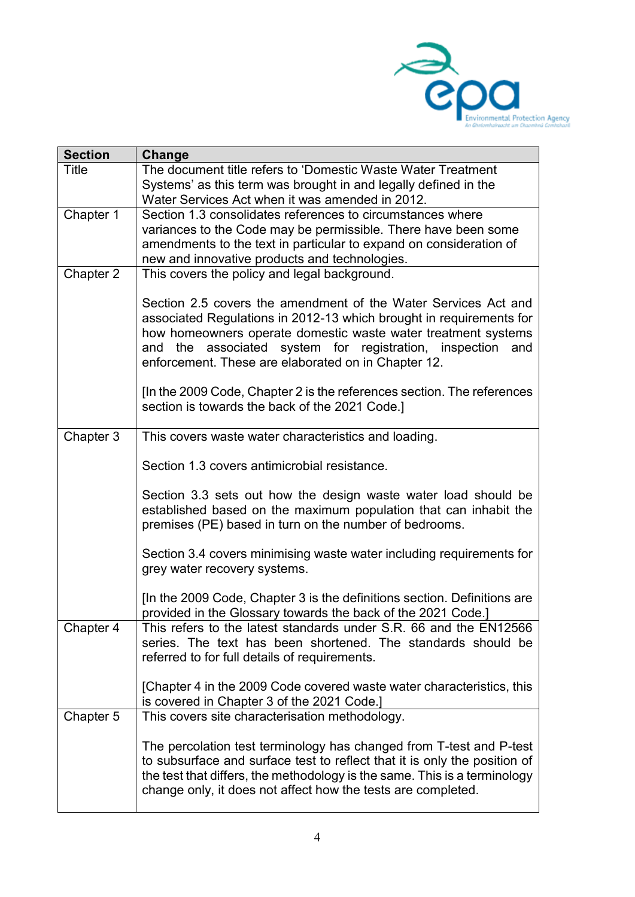

| <b>Section</b> | Change                                                                                                                                                                                                                                                                                                                      |
|----------------|-----------------------------------------------------------------------------------------------------------------------------------------------------------------------------------------------------------------------------------------------------------------------------------------------------------------------------|
| <b>Title</b>   | The document title refers to 'Domestic Waste Water Treatment                                                                                                                                                                                                                                                                |
|                | Systems' as this term was brought in and legally defined in the                                                                                                                                                                                                                                                             |
|                | Water Services Act when it was amended in 2012.                                                                                                                                                                                                                                                                             |
| Chapter 1      | Section 1.3 consolidates references to circumstances where                                                                                                                                                                                                                                                                  |
|                | variances to the Code may be permissible. There have been some                                                                                                                                                                                                                                                              |
|                | amendments to the text in particular to expand on consideration of                                                                                                                                                                                                                                                          |
|                | new and innovative products and technologies.<br>This covers the policy and legal background.                                                                                                                                                                                                                               |
| Chapter 2      |                                                                                                                                                                                                                                                                                                                             |
|                | Section 2.5 covers the amendment of the Water Services Act and<br>associated Regulations in 2012-13 which brought in requirements for<br>how homeowners operate domestic waste water treatment systems<br>and the associated system for registration, inspection and<br>enforcement. These are elaborated on in Chapter 12. |
|                | [In the 2009 Code, Chapter 2 is the references section. The references<br>section is towards the back of the 2021 Code.]                                                                                                                                                                                                    |
| Chapter 3      | This covers waste water characteristics and loading.                                                                                                                                                                                                                                                                        |
|                | Section 1.3 covers antimicrobial resistance.                                                                                                                                                                                                                                                                                |
|                | Section 3.3 sets out how the design waste water load should be<br>established based on the maximum population that can inhabit the<br>premises (PE) based in turn on the number of bedrooms.                                                                                                                                |
|                | Section 3.4 covers minimising waste water including requirements for<br>grey water recovery systems.                                                                                                                                                                                                                        |
|                | [In the 2009 Code, Chapter 3 is the definitions section. Definitions are<br>provided in the Glossary towards the back of the 2021 Code.]                                                                                                                                                                                    |
| Chapter 4      | This refers to the latest standards under S.R. 66 and the EN12566<br>series. The text has been shortened. The standards should be<br>referred to for full details of requirements.                                                                                                                                          |
|                | [Chapter 4 in the 2009 Code covered waste water characteristics, this<br>is covered in Chapter 3 of the 2021 Code.]                                                                                                                                                                                                         |
| Chapter 5      | This covers site characterisation methodology.                                                                                                                                                                                                                                                                              |
|                |                                                                                                                                                                                                                                                                                                                             |
|                | The percolation test terminology has changed from T-test and P-test<br>to subsurface and surface test to reflect that it is only the position of<br>the test that differs, the methodology is the same. This is a terminology<br>change only, it does not affect how the tests are completed.                               |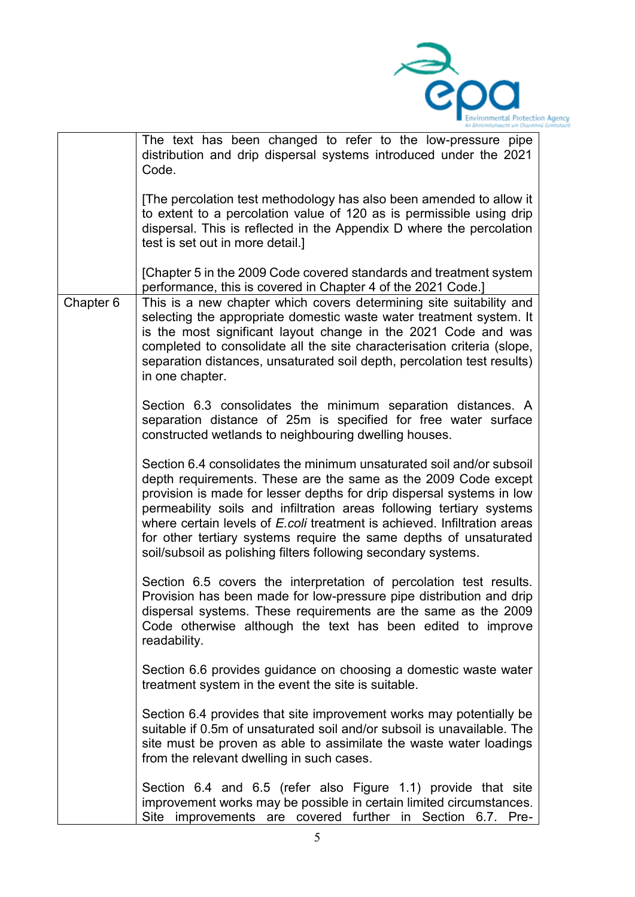

|           | An Ghniomhaireacht um Chaomhni                                                                                                                                                                                                                                                                                                                                                                                                                                                                             |
|-----------|------------------------------------------------------------------------------------------------------------------------------------------------------------------------------------------------------------------------------------------------------------------------------------------------------------------------------------------------------------------------------------------------------------------------------------------------------------------------------------------------------------|
|           | The text has been changed to refer to the low-pressure pipe<br>distribution and drip dispersal systems introduced under the 2021<br>Code.                                                                                                                                                                                                                                                                                                                                                                  |
|           | [The percolation test methodology has also been amended to allow it<br>to extent to a percolation value of 120 as is permissible using drip<br>dispersal. This is reflected in the Appendix D where the percolation<br>test is set out in more detail.]                                                                                                                                                                                                                                                    |
|           | [Chapter 5 in the 2009 Code covered standards and treatment system<br>performance, this is covered in Chapter 4 of the 2021 Code.]                                                                                                                                                                                                                                                                                                                                                                         |
| Chapter 6 | This is a new chapter which covers determining site suitability and<br>selecting the appropriate domestic waste water treatment system. It<br>is the most significant layout change in the 2021 Code and was<br>completed to consolidate all the site characterisation criteria (slope,<br>separation distances, unsaturated soil depth, percolation test results)<br>in one chapter.                                                                                                                      |
|           | Section 6.3 consolidates the minimum separation distances. A<br>separation distance of 25m is specified for free water surface<br>constructed wetlands to neighbouring dwelling houses.                                                                                                                                                                                                                                                                                                                    |
|           | Section 6.4 consolidates the minimum unsaturated soil and/or subsoil<br>depth requirements. These are the same as the 2009 Code except<br>provision is made for lesser depths for drip dispersal systems in low<br>permeability soils and infiltration areas following tertiary systems<br>where certain levels of E.coli treatment is achieved. Infiltration areas<br>for other tertiary systems require the same depths of unsaturated<br>soil/subsoil as polishing filters following secondary systems. |
|           | Section 6.5 covers the interpretation of percolation test results.<br>Provision has been made for low-pressure pipe distribution and drip<br>dispersal systems. These requirements are the same as the 2009<br>Code otherwise although the text has been edited to improve<br>readability.                                                                                                                                                                                                                 |
|           | Section 6.6 provides guidance on choosing a domestic waste water<br>treatment system in the event the site is suitable.                                                                                                                                                                                                                                                                                                                                                                                    |
|           | Section 6.4 provides that site improvement works may potentially be<br>suitable if 0.5m of unsaturated soil and/or subsoil is unavailable. The<br>site must be proven as able to assimilate the waste water loadings<br>from the relevant dwelling in such cases.                                                                                                                                                                                                                                          |
|           | Section 6.4 and 6.5 (refer also Figure 1.1) provide that site<br>improvement works may be possible in certain limited circumstances.<br>Site improvements are covered further in Section 6.7. Pre-                                                                                                                                                                                                                                                                                                         |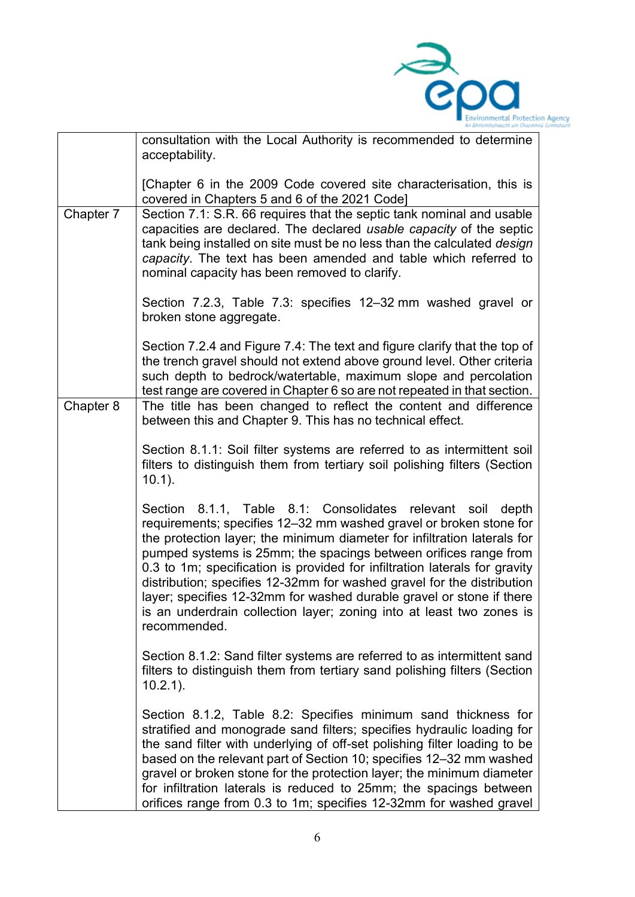

|           | la Ghalomhaireacht um Chaomha                                                                                                                                                                                                                                                                                                                                                                                                                                                                                                                                                                               |
|-----------|-------------------------------------------------------------------------------------------------------------------------------------------------------------------------------------------------------------------------------------------------------------------------------------------------------------------------------------------------------------------------------------------------------------------------------------------------------------------------------------------------------------------------------------------------------------------------------------------------------------|
|           | consultation with the Local Authority is recommended to determine<br>acceptability.                                                                                                                                                                                                                                                                                                                                                                                                                                                                                                                         |
|           | [Chapter 6 in the 2009 Code covered site characterisation, this is<br>covered in Chapters 5 and 6 of the 2021 Code]                                                                                                                                                                                                                                                                                                                                                                                                                                                                                         |
| Chapter 7 | Section 7.1: S.R. 66 requires that the septic tank nominal and usable<br>capacities are declared. The declared usable capacity of the septic<br>tank being installed on site must be no less than the calculated design<br>capacity. The text has been amended and table which referred to<br>nominal capacity has been removed to clarify.                                                                                                                                                                                                                                                                 |
|           | Section 7.2.3, Table 7.3: specifies 12-32 mm washed gravel or<br>broken stone aggregate.                                                                                                                                                                                                                                                                                                                                                                                                                                                                                                                    |
|           | Section 7.2.4 and Figure 7.4: The text and figure clarify that the top of<br>the trench gravel should not extend above ground level. Other criteria<br>such depth to bedrock/watertable, maximum slope and percolation<br>test range are covered in Chapter 6 so are not repeated in that section.                                                                                                                                                                                                                                                                                                          |
| Chapter 8 | The title has been changed to reflect the content and difference<br>between this and Chapter 9. This has no technical effect.                                                                                                                                                                                                                                                                                                                                                                                                                                                                               |
|           | Section 8.1.1: Soil filter systems are referred to as intermittent soil<br>filters to distinguish them from tertiary soil polishing filters (Section<br>$10.1$ ).                                                                                                                                                                                                                                                                                                                                                                                                                                           |
|           | Section 8.1.1, Table 8.1: Consolidates relevant soil<br>depth<br>requirements; specifies 12-32 mm washed gravel or broken stone for<br>the protection layer; the minimum diameter for infiltration laterals for<br>pumped systems is 25mm; the spacings between orifices range from<br>0.3 to 1m; specification is provided for infiltration laterals for gravity<br>distribution; specifies 12-32mm for washed gravel for the distribution<br>layer; specifies 12-32mm for washed durable gravel or stone if there<br>is an underdrain collection layer; zoning into at least two zones is<br>recommended. |
|           | Section 8.1.2: Sand filter systems are referred to as intermittent sand<br>filters to distinguish them from tertiary sand polishing filters (Section<br>$10.2.1$ ).                                                                                                                                                                                                                                                                                                                                                                                                                                         |
|           | Section 8.1.2, Table 8.2: Specifies minimum sand thickness for<br>stratified and monograde sand filters; specifies hydraulic loading for<br>the sand filter with underlying of off-set polishing filter loading to be<br>based on the relevant part of Section 10; specifies 12-32 mm washed<br>gravel or broken stone for the protection layer; the minimum diameter<br>for infiltration laterals is reduced to 25mm; the spacings between<br>orifices range from 0.3 to 1m; specifies 12-32mm for washed gravel                                                                                           |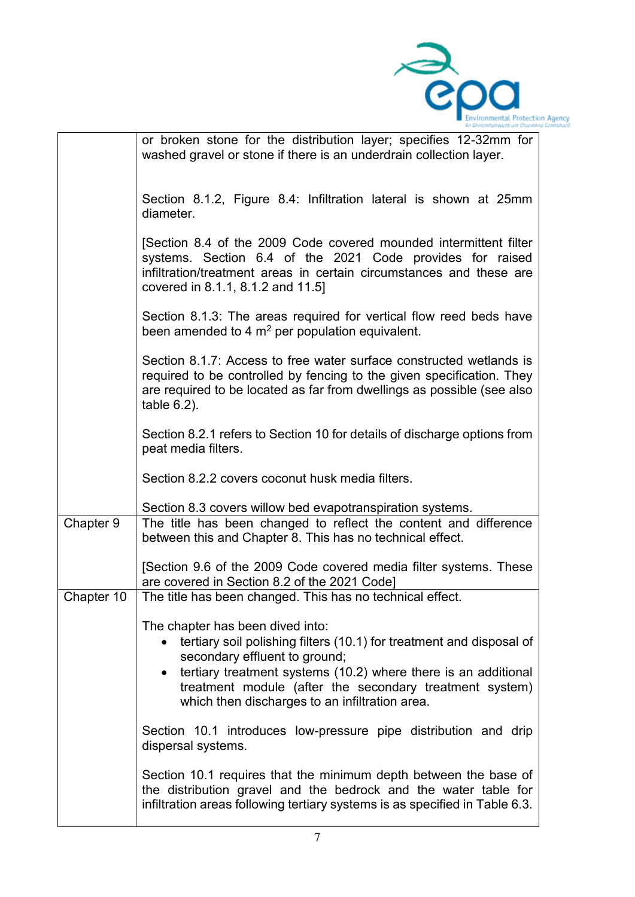

|            | n Ghniomhairpacht am Chaomh                                                                                                                                                                                                                                                                                              |
|------------|--------------------------------------------------------------------------------------------------------------------------------------------------------------------------------------------------------------------------------------------------------------------------------------------------------------------------|
|            | or broken stone for the distribution layer; specifies 12-32mm for<br>washed gravel or stone if there is an underdrain collection layer.                                                                                                                                                                                  |
|            | Section 8.1.2, Figure 8.4: Infiltration lateral is shown at 25mm<br>diameter.                                                                                                                                                                                                                                            |
|            | [Section 8.4 of the 2009 Code covered mounded intermittent filter<br>systems. Section 6.4 of the 2021 Code provides for raised<br>infiltration/treatment areas in certain circumstances and these are<br>covered in 8.1.1, 8.1.2 and 11.5]                                                                               |
|            | Section 8.1.3: The areas required for vertical flow reed beds have<br>been amended to 4 $m2$ per population equivalent.                                                                                                                                                                                                  |
|            | Section 8.1.7: Access to free water surface constructed wetlands is<br>required to be controlled by fencing to the given specification. They<br>are required to be located as far from dwellings as possible (see also<br>table $6.2$ ).                                                                                 |
|            | Section 8.2.1 refers to Section 10 for details of discharge options from<br>peat media filters.                                                                                                                                                                                                                          |
|            | Section 8.2.2 covers coconut husk media filters.                                                                                                                                                                                                                                                                         |
|            | Section 8.3 covers willow bed evapotranspiration systems.                                                                                                                                                                                                                                                                |
| Chapter 9  | The title has been changed to reflect the content and difference<br>between this and Chapter 8. This has no technical effect.                                                                                                                                                                                            |
|            | [Section 9.6 of the 2009 Code covered media filter systems. These<br>are covered in Section 8.2 of the 2021 Code]                                                                                                                                                                                                        |
| Chapter 10 | The title has been changed. This has no technical effect.                                                                                                                                                                                                                                                                |
|            | The chapter has been dived into:<br>tertiary soil polishing filters (10.1) for treatment and disposal of<br>secondary effluent to ground;<br>tertiary treatment systems (10.2) where there is an additional<br>treatment module (after the secondary treatment system)<br>which then discharges to an infiltration area. |
|            | Section 10.1 introduces low-pressure pipe distribution and drip<br>dispersal systems.                                                                                                                                                                                                                                    |
|            | Section 10.1 requires that the minimum depth between the base of<br>the distribution gravel and the bedrock and the water table for<br>infiltration areas following tertiary systems is as specified in Table 6.3.                                                                                                       |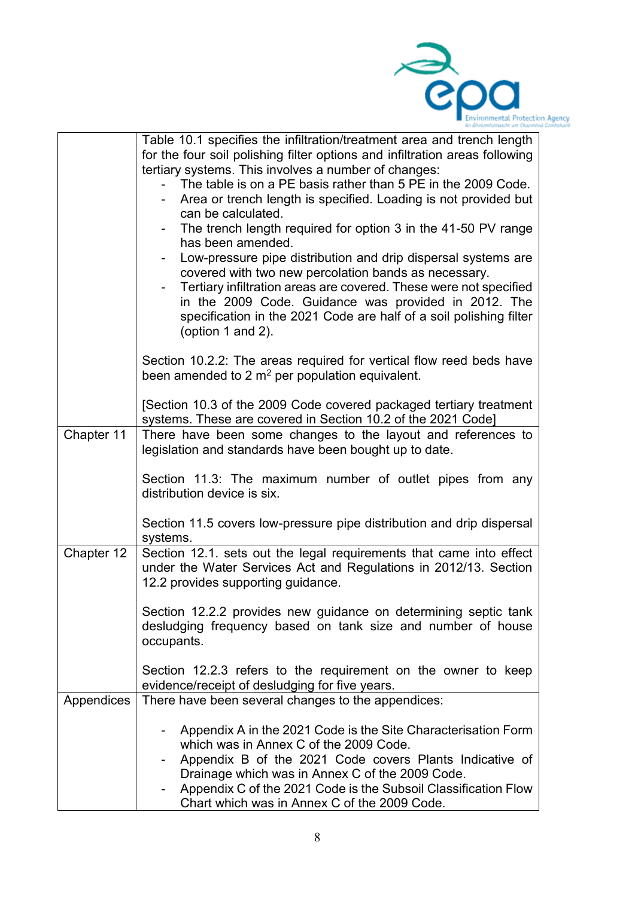

|            | la Ghaiceahaireacht um Chaoml                                                                                                                                                                                                                                                                                                                                                                                                                                                                                                                                                                                                                                                                                                                                                                                  |
|------------|----------------------------------------------------------------------------------------------------------------------------------------------------------------------------------------------------------------------------------------------------------------------------------------------------------------------------------------------------------------------------------------------------------------------------------------------------------------------------------------------------------------------------------------------------------------------------------------------------------------------------------------------------------------------------------------------------------------------------------------------------------------------------------------------------------------|
|            | Table 10.1 specifies the infiltration/treatment area and trench length<br>for the four soil polishing filter options and infiltration areas following<br>tertiary systems. This involves a number of changes:<br>The table is on a PE basis rather than 5 PE in the 2009 Code.<br>Area or trench length is specified. Loading is not provided but<br>can be calculated.<br>The trench length required for option 3 in the 41-50 PV range<br>has been amended.<br>Low-pressure pipe distribution and drip dispersal systems are<br>covered with two new percolation bands as necessary.<br>Tertiary infiltration areas are covered. These were not specified<br>in the 2009 Code. Guidance was provided in 2012. The<br>specification in the 2021 Code are half of a soil polishing filter<br>(option 1 and 2). |
|            | Section 10.2.2: The areas required for vertical flow reed beds have<br>been amended to 2 $m^2$ per population equivalent.                                                                                                                                                                                                                                                                                                                                                                                                                                                                                                                                                                                                                                                                                      |
|            | [Section 10.3 of the 2009 Code covered packaged tertiary treatment<br>systems. These are covered in Section 10.2 of the 2021 Code]                                                                                                                                                                                                                                                                                                                                                                                                                                                                                                                                                                                                                                                                             |
| Chapter 11 | There have been some changes to the layout and references to<br>legislation and standards have been bought up to date.                                                                                                                                                                                                                                                                                                                                                                                                                                                                                                                                                                                                                                                                                         |
|            | Section 11.3: The maximum number of outlet pipes from any<br>distribution device is six.                                                                                                                                                                                                                                                                                                                                                                                                                                                                                                                                                                                                                                                                                                                       |
|            | Section 11.5 covers low-pressure pipe distribution and drip dispersal<br>systems.                                                                                                                                                                                                                                                                                                                                                                                                                                                                                                                                                                                                                                                                                                                              |
| Chapter 12 | Section 12.1. sets out the legal requirements that came into effect<br>under the Water Services Act and Regulations in 2012/13. Section<br>12.2 provides supporting guidance.                                                                                                                                                                                                                                                                                                                                                                                                                                                                                                                                                                                                                                  |
|            | Section 12.2.2 provides new guidance on determining septic tank<br>desludging frequency based on tank size and number of house<br>occupants.                                                                                                                                                                                                                                                                                                                                                                                                                                                                                                                                                                                                                                                                   |
|            | Section 12.2.3 refers to the requirement on the owner to keep<br>evidence/receipt of desludging for five years.                                                                                                                                                                                                                                                                                                                                                                                                                                                                                                                                                                                                                                                                                                |
| Appendices | There have been several changes to the appendices:                                                                                                                                                                                                                                                                                                                                                                                                                                                                                                                                                                                                                                                                                                                                                             |
|            | Appendix A in the 2021 Code is the Site Characterisation Form<br>which was in Annex C of the 2009 Code.<br>Appendix B of the 2021 Code covers Plants Indicative of<br>Drainage which was in Annex C of the 2009 Code.<br>Appendix C of the 2021 Code is the Subsoil Classification Flow<br>Chart which was in Annex C of the 2009 Code.                                                                                                                                                                                                                                                                                                                                                                                                                                                                        |